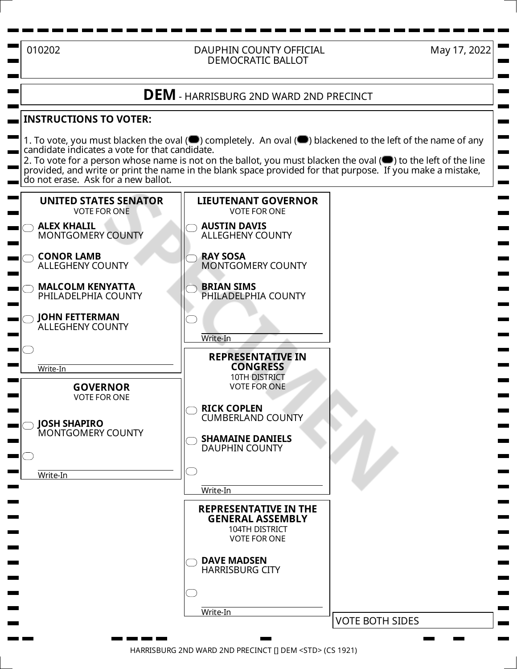## 010202 DAUPHIN COUNTY OFFICIAL DEMOCRATIC BALLOT

May 17, 2022

## **DEM** - HARRISBURG 2ND WARD 2ND PRECINCT

## **INSTRUCTIONS TO VOTER:**

1. To vote, you must blacken the oval ( $\blacksquare$ ) completely. An oval ( $\blacksquare$ ) blackened to the left of the name of any candidate indicates a vote for that candidate.

2. To vote for a person whose name is not on the ballot, you must blacken the oval ( $\bullet$ ) to the left of the line provided, and write or print the name in the blank space provided for that purpose. If you make a mistake, do not erase. Ask for a new ballot.